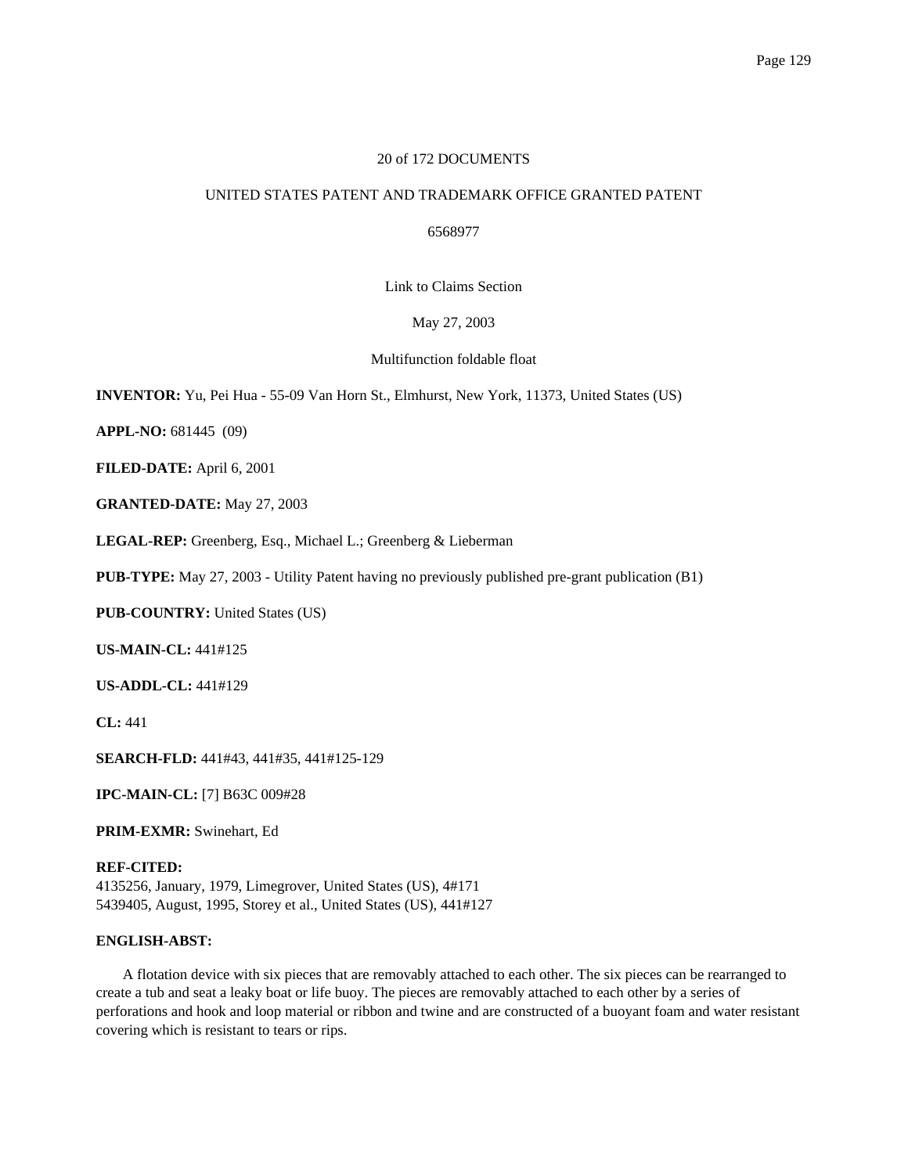# 20 of 172 DOCUMENTS

# UNITED STATES PATENT AND TRADEMARK OFFICE GRANTED PATENT

6568977

Link to Claims Section

May 27, 2003

Multifunction foldable float

**INVENTOR:** Yu, Pei Hua - 55-09 Van Horn St., Elmhurst, New York, 11373, United States (US)

**APPL-NO:** 681445 (09)

**FILED-DATE:** April 6, 2001

**GRANTED-DATE:** May 27, 2003

**LEGAL-REP:** Greenberg, Esq., Michael L.; Greenberg & Lieberman

**PUB-TYPE:** May 27, 2003 - Utility Patent having no previously published pre-grant publication (B1)

**PUB-COUNTRY:** United States (US)

**US-MAIN-CL:** 441#125

**US-ADDL-CL:** 441#129

**CL:** 441

**SEARCH-FLD:** 441#43, 441#35, 441#125-129

**IPC-MAIN-CL:** [7] B63C 009#28

**PRIM-EXMR:** Swinehart, Ed

**REF-CITED:** 4135256, January, 1979, Limegrover, United States (US), 4#171 5439405, August, 1995, Storey et al., United States (US), 441#127

## **ENGLISH-ABST:**

A flotation device with six pieces that are removably attached to each other. The six pieces can be rearranged to create a tub and seat a leaky boat or life buoy. The pieces are removably attached to each other by a series of perforations and hook and loop material or ribbon and twine and are constructed of a buoyant foam and water resistant covering which is resistant to tears or rips.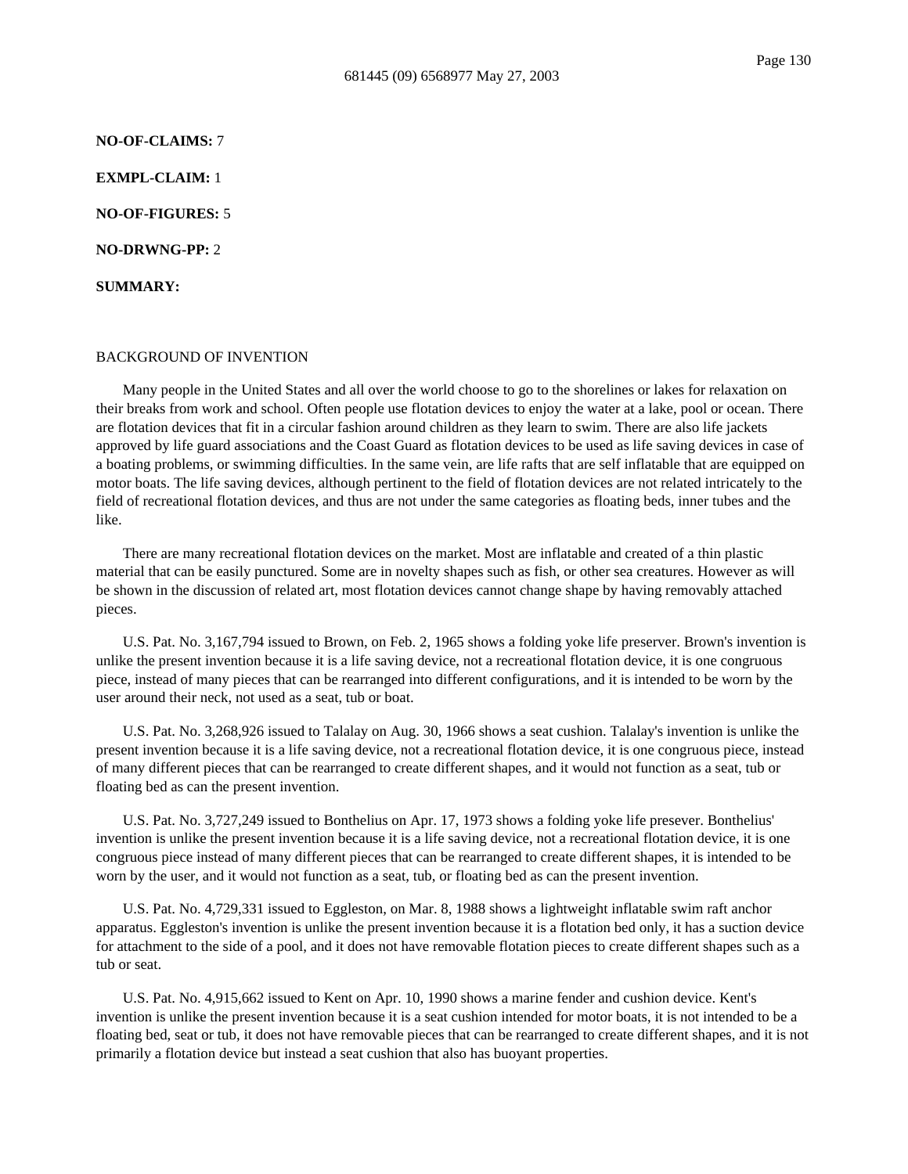### **NO-OF-CLAIMS:** 7

**EXMPL-CLAIM:** 1

**NO-OF-FIGURES:** 5

**NO-DRWNG-PP:** 2

**SUMMARY:**

#### BACKGROUND OF INVENTION

Many people in the United States and all over the world choose to go to the shorelines or lakes for relaxation on their breaks from work and school. Often people use flotation devices to enjoy the water at a lake, pool or ocean. There are flotation devices that fit in a circular fashion around children as they learn to swim. There are also life jackets approved by life guard associations and the Coast Guard as flotation devices to be used as life saving devices in case of a boating problems, or swimming difficulties. In the same vein, are life rafts that are self inflatable that are equipped on motor boats. The life saving devices, although pertinent to the field of flotation devices are not related intricately to the field of recreational flotation devices, and thus are not under the same categories as floating beds, inner tubes and the like.

There are many recreational flotation devices on the market. Most are inflatable and created of a thin plastic material that can be easily punctured. Some are in novelty shapes such as fish, or other sea creatures. However as will be shown in the discussion of related art, most flotation devices cannot change shape by having removably attached pieces.

U.S. Pat. No. 3,167,794 issued to Brown, on Feb. 2, 1965 shows a folding yoke life preserver. Brown's invention is unlike the present invention because it is a life saving device, not a recreational flotation device, it is one congruous piece, instead of many pieces that can be rearranged into different configurations, and it is intended to be worn by the user around their neck, not used as a seat, tub or boat.

U.S. Pat. No. 3,268,926 issued to Talalay on Aug. 30, 1966 shows a seat cushion. Talalay's invention is unlike the present invention because it is a life saving device, not a recreational flotation device, it is one congruous piece, instead of many different pieces that can be rearranged to create different shapes, and it would not function as a seat, tub or floating bed as can the present invention.

U.S. Pat. No. 3,727,249 issued to Bonthelius on Apr. 17, 1973 shows a folding yoke life presever. Bonthelius' invention is unlike the present invention because it is a life saving device, not a recreational flotation device, it is one congruous piece instead of many different pieces that can be rearranged to create different shapes, it is intended to be worn by the user, and it would not function as a seat, tub, or floating bed as can the present invention.

U.S. Pat. No. 4,729,331 issued to Eggleston, on Mar. 8, 1988 shows a lightweight inflatable swim raft anchor apparatus. Eggleston's invention is unlike the present invention because it is a flotation bed only, it has a suction device for attachment to the side of a pool, and it does not have removable flotation pieces to create different shapes such as a tub or seat.

U.S. Pat. No. 4,915,662 issued to Kent on Apr. 10, 1990 shows a marine fender and cushion device. Kent's invention is unlike the present invention because it is a seat cushion intended for motor boats, it is not intended to be a floating bed, seat or tub, it does not have removable pieces that can be rearranged to create different shapes, and it is not primarily a flotation device but instead a seat cushion that also has buoyant properties.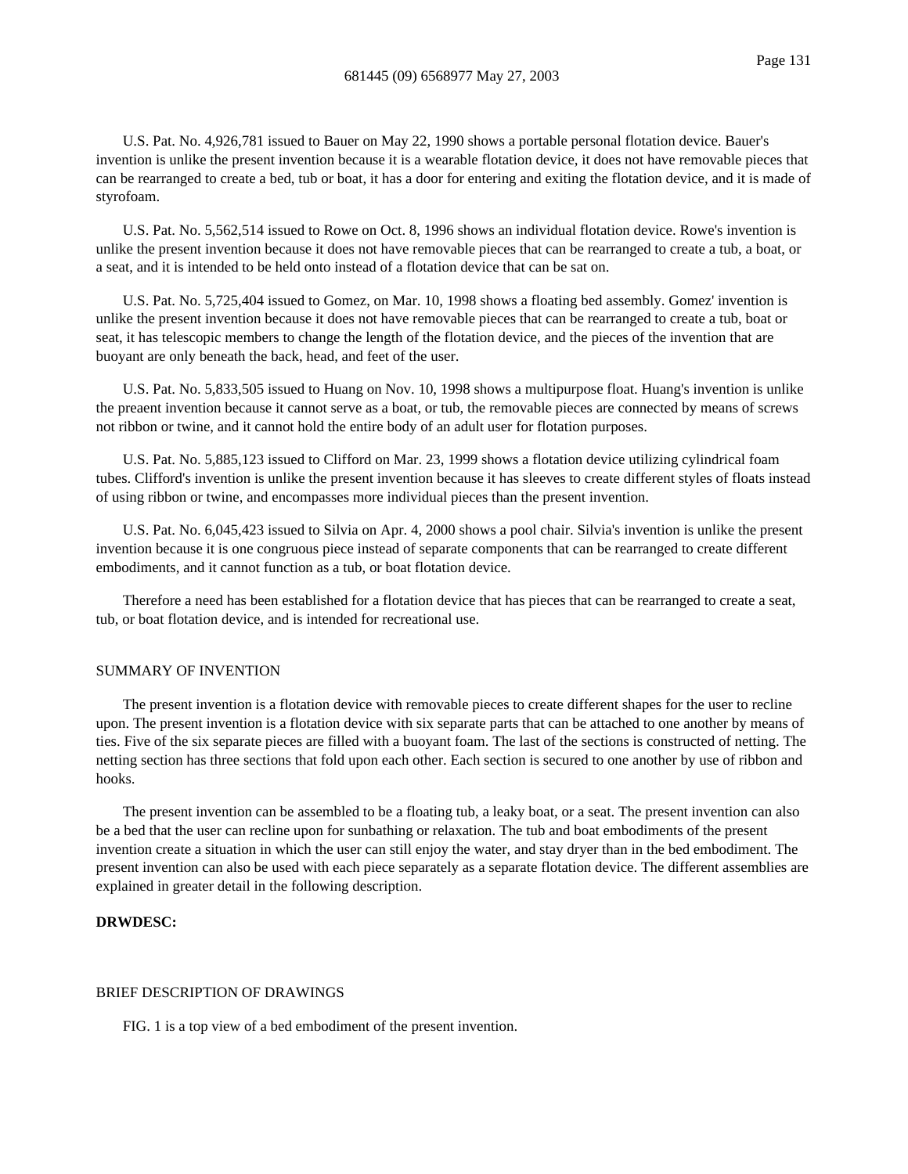U.S. Pat. No. 4,926,781 issued to Bauer on May 22, 1990 shows a portable personal flotation device. Bauer's invention is unlike the present invention because it is a wearable flotation device, it does not have removable pieces that can be rearranged to create a bed, tub or boat, it has a door for entering and exiting the flotation device, and it is made of styrofoam.

U.S. Pat. No. 5,562,514 issued to Rowe on Oct. 8, 1996 shows an individual flotation device. Rowe's invention is unlike the present invention because it does not have removable pieces that can be rearranged to create a tub, a boat, or a seat, and it is intended to be held onto instead of a flotation device that can be sat on.

U.S. Pat. No. 5,725,404 issued to Gomez, on Mar. 10, 1998 shows a floating bed assembly. Gomez' invention is unlike the present invention because it does not have removable pieces that can be rearranged to create a tub, boat or seat, it has telescopic members to change the length of the flotation device, and the pieces of the invention that are buoyant are only beneath the back, head, and feet of the user.

U.S. Pat. No. 5,833,505 issued to Huang on Nov. 10, 1998 shows a multipurpose float. Huang's invention is unlike the preaent invention because it cannot serve as a boat, or tub, the removable pieces are connected by means of screws not ribbon or twine, and it cannot hold the entire body of an adult user for flotation purposes.

U.S. Pat. No. 5,885,123 issued to Clifford on Mar. 23, 1999 shows a flotation device utilizing cylindrical foam tubes. Clifford's invention is unlike the present invention because it has sleeves to create different styles of floats instead of using ribbon or twine, and encompasses more individual pieces than the present invention.

U.S. Pat. No. 6,045,423 issued to Silvia on Apr. 4, 2000 shows a pool chair. Silvia's invention is unlike the present invention because it is one congruous piece instead of separate components that can be rearranged to create different embodiments, and it cannot function as a tub, or boat flotation device.

Therefore a need has been established for a flotation device that has pieces that can be rearranged to create a seat, tub, or boat flotation device, and is intended for recreational use.

## SUMMARY OF INVENTION

The present invention is a flotation device with removable pieces to create different shapes for the user to recline upon. The present invention is a flotation device with six separate parts that can be attached to one another by means of ties. Five of the six separate pieces are filled with a buoyant foam. The last of the sections is constructed of netting. The netting section has three sections that fold upon each other. Each section is secured to one another by use of ribbon and hooks.

The present invention can be assembled to be a floating tub, a leaky boat, or a seat. The present invention can also be a bed that the user can recline upon for sunbathing or relaxation. The tub and boat embodiments of the present invention create a situation in which the user can still enjoy the water, and stay dryer than in the bed embodiment. The present invention can also be used with each piece separately as a separate flotation device. The different assemblies are explained in greater detail in the following description.

# **DRWDESC:**

#### BRIEF DESCRIPTION OF DRAWINGS

FIG. 1 is a top view of a bed embodiment of the present invention.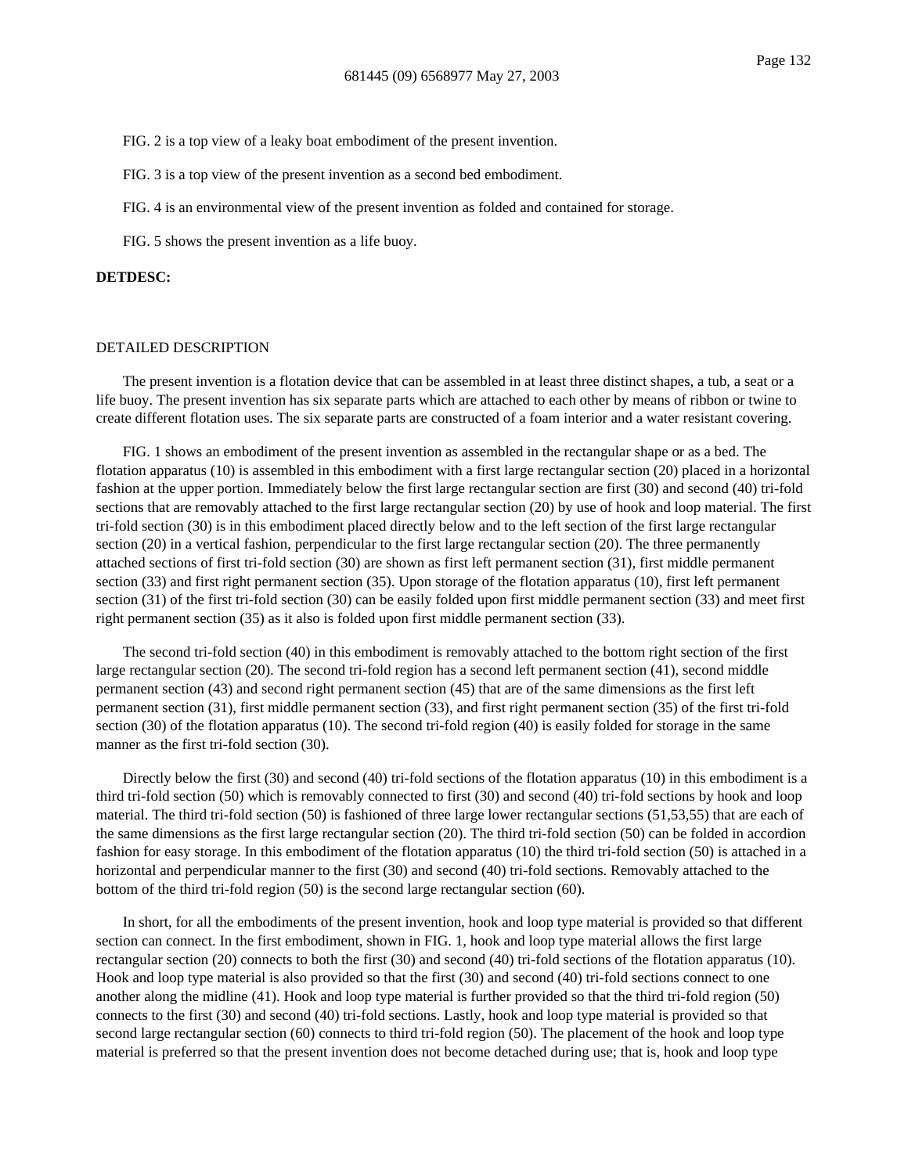FIG. 2 is a top view of a leaky boat embodiment of the present invention.

FIG. 3 is a top view of the present invention as a second bed embodiment.

FIG. 4 is an environmental view of the present invention as folded and contained for storage.

FIG. 5 shows the present invention as a life buoy.

#### **DETDESC:**

### DETAILED DESCRIPTION

The present invention is a flotation device that can be assembled in at least three distinct shapes, a tub, a seat or a life buoy. The present invention has six separate parts which are attached to each other by means of ribbon or twine to create different flotation uses. The six separate parts are constructed of a foam interior and a water resistant covering.

FIG. 1 shows an embodiment of the present invention as assembled in the rectangular shape or as a bed. The flotation apparatus (10) is assembled in this embodiment with a first large rectangular section (20) placed in a horizontal fashion at the upper portion. Immediately below the first large rectangular section are first (30) and second (40) tri-fold sections that are removably attached to the first large rectangular section (20) by use of hook and loop material. The first tri-fold section (30) is in this embodiment placed directly below and to the left section of the first large rectangular section (20) in a vertical fashion, perpendicular to the first large rectangular section (20). The three permanently attached sections of first tri-fold section (30) are shown as first left permanent section (31), first middle permanent section (33) and first right permanent section (35). Upon storage of the flotation apparatus (10), first left permanent section (31) of the first tri-fold section (30) can be easily folded upon first middle permanent section (33) and meet first right permanent section (35) as it also is folded upon first middle permanent section (33).

The second tri-fold section (40) in this embodiment is removably attached to the bottom right section of the first large rectangular section (20). The second tri-fold region has a second left permanent section (41), second middle permanent section (43) and second right permanent section (45) that are of the same dimensions as the first left permanent section (31), first middle permanent section (33), and first right permanent section (35) of the first tri-fold section (30) of the flotation apparatus (10). The second tri-fold region (40) is easily folded for storage in the same manner as the first tri-fold section (30).

Directly below the first (30) and second (40) tri-fold sections of the flotation apparatus (10) in this embodiment is a third tri-fold section (50) which is removably connected to first (30) and second (40) tri-fold sections by hook and loop material. The third tri-fold section (50) is fashioned of three large lower rectangular sections (51,53,55) that are each of the same dimensions as the first large rectangular section (20). The third tri-fold section (50) can be folded in accordion fashion for easy storage. In this embodiment of the flotation apparatus (10) the third tri-fold section (50) is attached in a horizontal and perpendicular manner to the first (30) and second (40) tri-fold sections. Removably attached to the bottom of the third tri-fold region (50) is the second large rectangular section (60).

In short, for all the embodiments of the present invention, hook and loop type material is provided so that different section can connect. In the first embodiment, shown in FIG. 1, hook and loop type material allows the first large rectangular section (20) connects to both the first (30) and second (40) tri-fold sections of the flotation apparatus (10). Hook and loop type material is also provided so that the first (30) and second (40) tri-fold sections connect to one another along the midline (41). Hook and loop type material is further provided so that the third tri-fold region (50) connects to the first (30) and second (40) tri-fold sections. Lastly, hook and loop type material is provided so that second large rectangular section (60) connects to third tri-fold region (50). The placement of the hook and loop type material is preferred so that the present invention does not become detached during use; that is, hook and loop type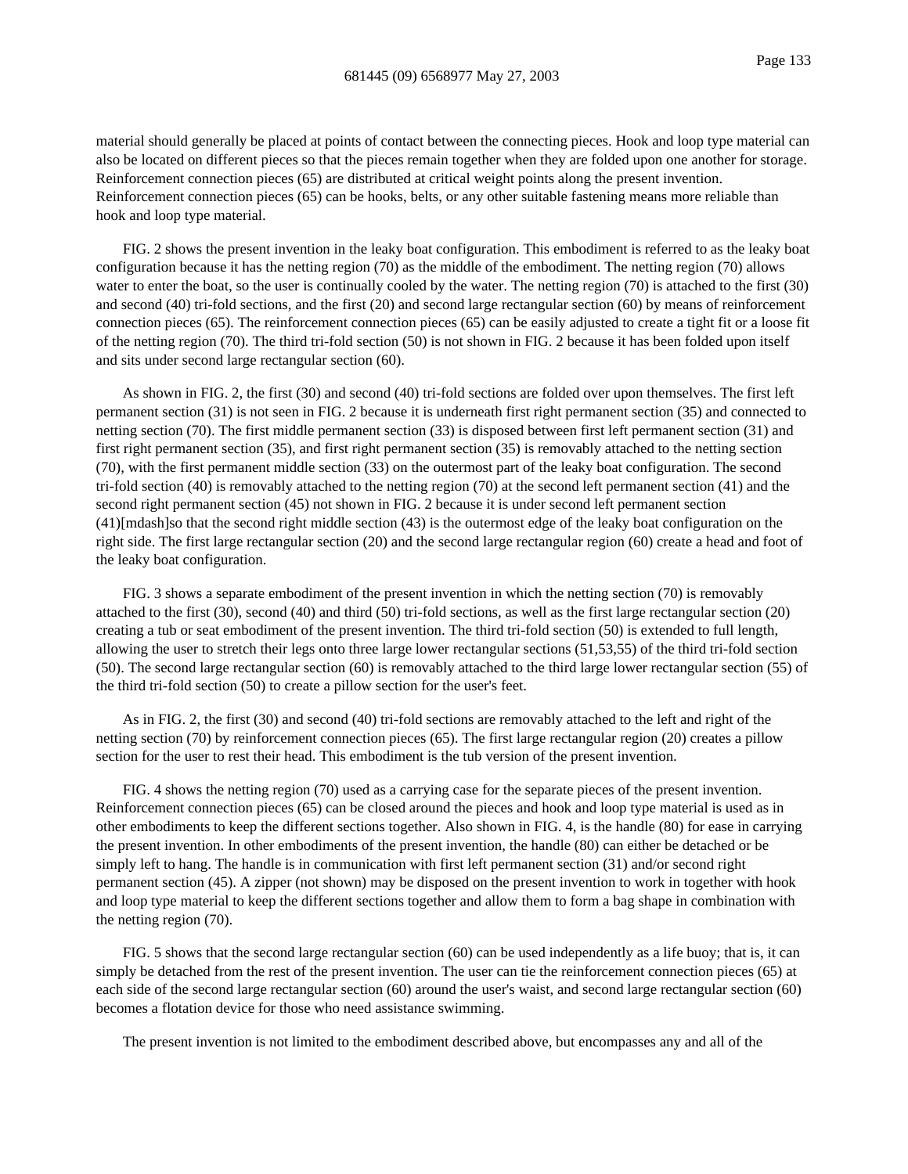material should generally be placed at points of contact between the connecting pieces. Hook and loop type material can also be located on different pieces so that the pieces remain together when they are folded upon one another for storage. Reinforcement connection pieces (65) are distributed at critical weight points along the present invention. Reinforcement connection pieces (65) can be hooks, belts, or any other suitable fastening means more reliable than hook and loop type material.

FIG. 2 shows the present invention in the leaky boat configuration. This embodiment is referred to as the leaky boat configuration because it has the netting region (70) as the middle of the embodiment. The netting region (70) allows water to enter the boat, so the user is continually cooled by the water. The netting region (70) is attached to the first (30) and second (40) tri-fold sections, and the first (20) and second large rectangular section (60) by means of reinforcement connection pieces (65). The reinforcement connection pieces (65) can be easily adjusted to create a tight fit or a loose fit of the netting region (70). The third tri-fold section (50) is not shown in FIG. 2 because it has been folded upon itself and sits under second large rectangular section (60).

As shown in FIG. 2, the first (30) and second (40) tri-fold sections are folded over upon themselves. The first left permanent section (31) is not seen in FIG. 2 because it is underneath first right permanent section (35) and connected to netting section (70). The first middle permanent section (33) is disposed between first left permanent section (31) and first right permanent section (35), and first right permanent section (35) is removably attached to the netting section (70), with the first permanent middle section (33) on the outermost part of the leaky boat configuration. The second tri-fold section (40) is removably attached to the netting region (70) at the second left permanent section (41) and the second right permanent section (45) not shown in FIG. 2 because it is under second left permanent section (41)[mdash]so that the second right middle section (43) is the outermost edge of the leaky boat configuration on the right side. The first large rectangular section (20) and the second large rectangular region (60) create a head and foot of the leaky boat configuration.

FIG. 3 shows a separate embodiment of the present invention in which the netting section (70) is removably attached to the first (30), second (40) and third (50) tri-fold sections, as well as the first large rectangular section (20) creating a tub or seat embodiment of the present invention. The third tri-fold section (50) is extended to full length, allowing the user to stretch their legs onto three large lower rectangular sections (51,53,55) of the third tri-fold section (50). The second large rectangular section (60) is removably attached to the third large lower rectangular section (55) of the third tri-fold section (50) to create a pillow section for the user's feet.

As in FIG. 2, the first (30) and second (40) tri-fold sections are removably attached to the left and right of the netting section (70) by reinforcement connection pieces (65). The first large rectangular region (20) creates a pillow section for the user to rest their head. This embodiment is the tub version of the present invention.

FIG. 4 shows the netting region (70) used as a carrying case for the separate pieces of the present invention. Reinforcement connection pieces (65) can be closed around the pieces and hook and loop type material is used as in other embodiments to keep the different sections together. Also shown in FIG. 4, is the handle (80) for ease in carrying the present invention. In other embodiments of the present invention, the handle (80) can either be detached or be simply left to hang. The handle is in communication with first left permanent section (31) and/or second right permanent section (45). A zipper (not shown) may be disposed on the present invention to work in together with hook and loop type material to keep the different sections together and allow them to form a bag shape in combination with the netting region (70).

FIG. 5 shows that the second large rectangular section (60) can be used independently as a life buoy; that is, it can simply be detached from the rest of the present invention. The user can tie the reinforcement connection pieces (65) at each side of the second large rectangular section (60) around the user's waist, and second large rectangular section (60) becomes a flotation device for those who need assistance swimming.

The present invention is not limited to the embodiment described above, but encompasses any and all of the